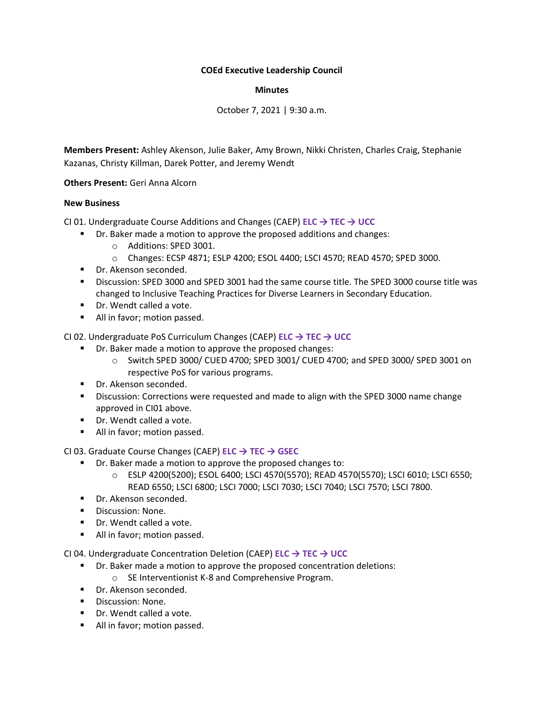## **COEd Executive Leadership Council**

## **Minutes**

October 7, 2021 | 9:30 a.m.

**Members Present:** Ashley Akenson, Julie Baker, Amy Brown, Nikki Christen, Charles Craig, Stephanie Kazanas, Christy Killman, Darek Potter, and Jeremy Wendt

**Others Present:** Geri Anna Alcorn

# **New Business**

CI 01. Undergraduate Course Additions and Changes (CAEP) **ELC → TEC → UCC**

- Dr. Baker made a motion to approve the proposed additions and changes:
	- o Additions: SPED 3001.
	- o Changes: ECSP 4871; ESLP 4200; ESOL 4400; LSCI 4570; READ 4570; SPED 3000.
- Dr. Akenson seconded.
- Discussion: SPED 3000 and SPED 3001 had the same course title. The SPED 3000 course title was changed to Inclusive Teaching Practices for Diverse Learners in Secondary Education.
- Dr. Wendt called a vote.
- All in favor; motion passed.

CI 02. Undergraduate PoS Curriculum Changes (CAEP) **ELC → TEC → UCC**

- Dr. Baker made a motion to approve the proposed changes:
	- o Switch SPED 3000/ CUED 4700; SPED 3001/ CUED 4700; and SPED 3000/ SPED 3001 on respective PoS for various programs.
- Dr. Akenson seconded.
- **EXP** Discussion: Corrections were requested and made to align with the SPED 3000 name change approved in CI01 above.
- Dr. Wendt called a vote.
- All in favor; motion passed.

CI 03. Graduate Course Changes (CAEP) **ELC → TEC → GSEC**

- Dr. Baker made a motion to approve the proposed changes to:
	- o ESLP 4200(5200); ESOL 6400; LSCI 4570(5570); READ 4570(5570); LSCI 6010; LSCI 6550; READ 6550; LSCI 6800; LSCI 7000; LSCI 7030; LSCI 7040; LSCI 7570; LSCI 7800.
- **·** Dr. Akenson seconded.
- Discussion: None.
- Dr. Wendt called a vote.
- All in favor; motion passed.

CI 04. Undergraduate Concentration Deletion (CAEP) **ELC → TEC → UCC**

- Dr. Baker made a motion to approve the proposed concentration deletions:
	- o SE Interventionist K-8 and Comprehensive Program.
- Dr. Akenson seconded.
- Discussion: None.
- Dr. Wendt called a vote.
- All in favor; motion passed.